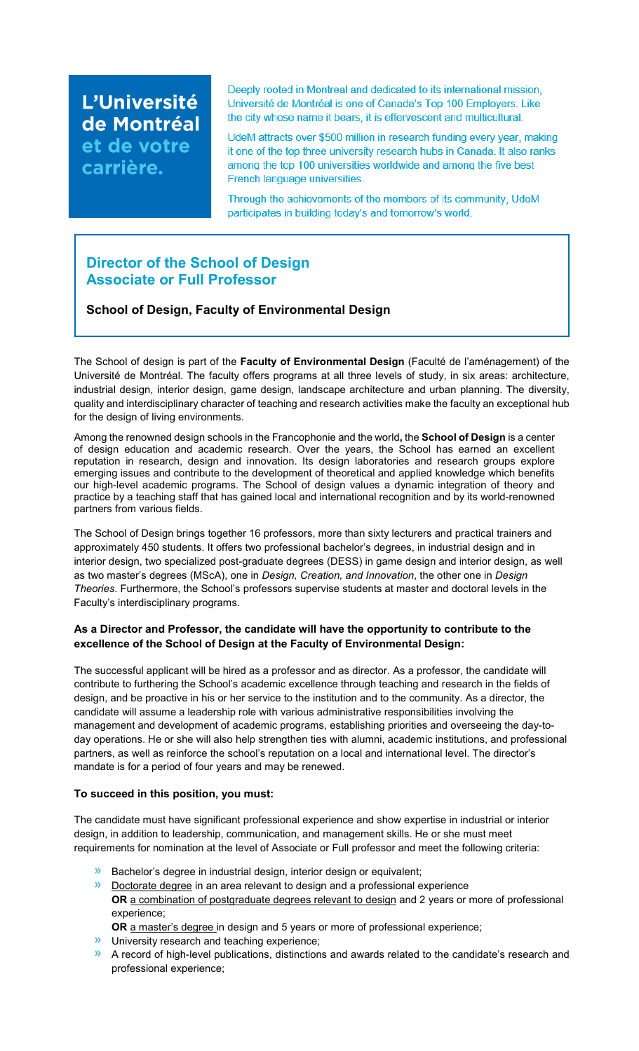L'Université de Montréal et de votre carrière.

Deeply rooted in Montreal and dedicated to its international mission, Université de Montréal is one of Canada's Top 100 Employers. Like the city whose name it bears, it is effervescent and multicultural.

UdeM attracts over \$500 million in research funding every year, making it one of the top three university research hubs in Canada. It also ranks among the top 100 universities worldwide and among the five best French language universities.

Through the achievements of the members of its community, UdeM participates in building today's and tomorrow's world.

# **Director of the School of Design Associate or Full Professor**

## **School of Design, Faculty of Environmental Design**

The School of design is part of the **Faculty of Environmental Design** (Faculté de l'aménagement) of the Université de Montréal. The faculty offers programs at all three levels of study, in six areas: architecture, industrial design, interior design, game design, landscape architecture and urban planning. The diversity, quality and interdisciplinary character of teaching and research activities make the faculty an exceptional hub for the design of living environments.

Among the renowned design schools in the Francophonie and the world**,** the **School of Design** is a center of design education and academic research. Over the years, the School has earned an excellent reputation in research, design and innovation. Its design laboratories and research groups explore emerging issues and contribute to the development of theoretical and applied knowledge which benefits our high-level academic programs. The School of design values a dynamic integration of theory and practice by a teaching staff that has gained local and international recognition and by its world-renowned partners from various fields.

The School of Design brings together 16 professors, more than sixty lecturers and practical trainers and approximately 450 students. It offers two professional bachelor's degrees, in industrial design and in interior design, two specialized post-graduate degrees (DESS) in game design and interior design, as well as two master's degrees (MScA), one in *Design, Creation, and Innovation*, the other one in *Design Theories*. Furthermore, the School's professors supervise students at master and doctoral levels in the Faculty's interdisciplinary programs.

### **As a Director and Professor, the candidate will have the opportunity to contribute to the excellence of the School of Design at the Faculty of Environmental Design:**

The successful applicant will be hired as a professor and as director. As a professor, the candidate will contribute to furthering the School's academic excellence through teaching and research in the fields of design, and be proactive in his or her service to the institution and to the community. As a director, the candidate will assume a leadership role with various administrative responsibilities involving the management and development of academic programs, establishing priorities and overseeing the day-today operations. He or she will also help strengthen ties with alumni, academic institutions, and professional partners, as well as reinforce the school's reputation on a local and international level. The director's mandate is for a period of four years and may be renewed.

#### **To succeed in this position, you must:**

The candidate must have significant professional experience and show expertise in industrial or interior design, in addition to leadership, communication, and management skills. He or she must meet requirements for nomination at the level of Associate or Full professor and meet the following criteria:

- **Bachelor's degree in industrial design, interior design or equivalent;**
- **Doctorate degree** in an area relevant to design and a professional experience OR a combination of postgraduate degrees relevant to design and 2 years or more of professional experience;

**OR** a master's degree in design and 5 years or more of professional experience;

- **»** University research and teaching experience;
- A record of high-level publications, distinctions and awards related to the candidate's research and professional experience;